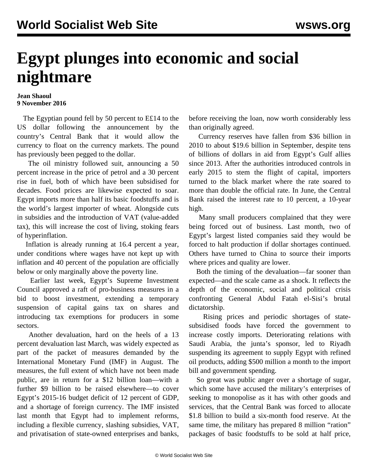## **Egypt plunges into economic and social nightmare**

## **Jean Shaoul 9 November 2016**

 The Egyptian pound fell by 50 percent to E£14 to the US dollar following the announcement by the country's Central Bank that it would allow the currency to float on the currency markets. The pound has previously been pegged to the dollar.

 The oil ministry followed suit, announcing a 50 percent increase in the price of petrol and a 30 percent rise in fuel, both of which have been subsidised for decades. Food prices are likewise expected to soar. Egypt imports more than half its basic foodstuffs and is the world's largest importer of wheat. Alongside cuts in subsidies and the introduction of VAT (value-added tax), this will increase the cost of living, stoking fears of hyperinflation.

 Inflation is already running at 16.4 percent a year, under conditions where wages have not kept up with inflation and 40 percent of the population are officially below or only marginally above the poverty line.

 Earlier last week, Egypt's Supreme Investment Council approved a raft of pro-business measures in a bid to boost investment, extending a temporary suspension of capital gains tax on shares and introducing tax exemptions for producers in some sectors.

 Another devaluation, hard on the heels of a 13 percent devaluation last March, was widely expected as part of the packet of measures demanded by the International Monetary Fund (IMF) in August. The measures, the full extent of which have not been made public, are in return for a \$12 billion loan—with a further \$9 billion to be raised elsewhere—to cover Egypt's 2015-16 budget deficit of 12 percent of GDP, and a shortage of foreign currency. The IMF insisted last month that Egypt had to implement reforms, including a flexible currency, slashing subsidies, VAT, and privatisation of state-owned enterprises and banks,

before receiving the loan, now worth considerably less than originally agreed.

 Currency reserves have fallen from \$36 billion in 2010 to about \$19.6 billion in September, despite tens of billions of dollars in aid from Egypt's Gulf allies since 2013. After the authorities introduced controls in early 2015 to stem the flight of capital, importers turned to the black market where the rate soared to more than double the official rate. In June, the Central Bank raised the interest rate to 10 percent, a 10-year high.

 Many small producers complained that they were being forced out of business. Last month, two of Egypt's largest listed companies said they would be forced to halt production if dollar shortages continued. Others have turned to China to source their imports where prices and quality are lower.

 Both the timing of the devaluation—far sooner than expected—and the scale came as a shock. It reflects the depth of the economic, social and political crisis confronting General Abdul Fatah el-Sisi's brutal dictatorship.

 Rising prices and periodic shortages of statesubsidised foods have forced the government to increase costly imports. Deteriorating relations with Saudi Arabia, the junta's sponsor, led to Riyadh suspending its agreement to supply Egypt with refined oil products, adding \$500 million a month to the import bill and government spending.

 So great was public anger over a shortage of sugar, which some have accused the military's enterprises of seeking to monopolise as it has with other goods and services, that the Central Bank was forced to allocate \$1.8 billion to build a six-month food reserve. At the same time, the military has prepared 8 million "ration" packages of basic foodstuffs to be sold at half price,